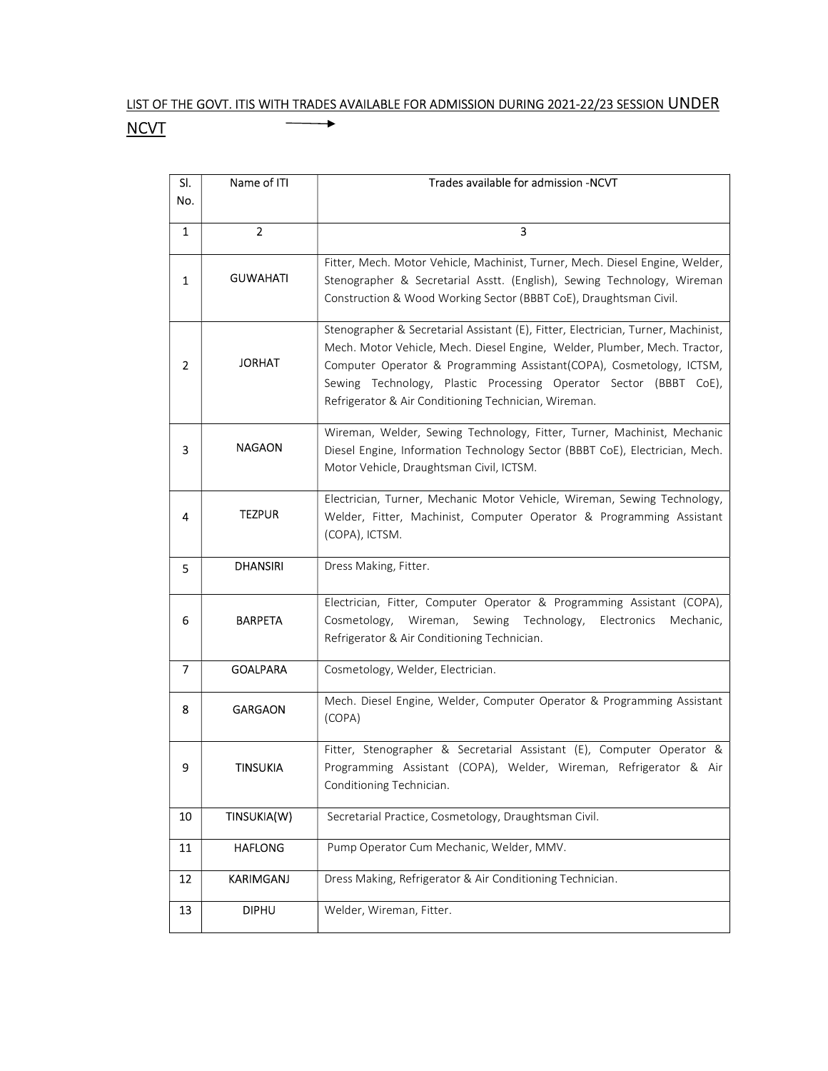## LIST OF THE GOVT. ITIS WITH TRADES AVAILABLE FOR ADMISSION DURING 2021-22/23 SESSION UNDER **NCVT** ×

| SI.            | Name of ITI      | Trades available for admission -NCVT                                                                                                                                                                                                                                                                                                                                |
|----------------|------------------|---------------------------------------------------------------------------------------------------------------------------------------------------------------------------------------------------------------------------------------------------------------------------------------------------------------------------------------------------------------------|
| No.            |                  |                                                                                                                                                                                                                                                                                                                                                                     |
| 1              | $\overline{2}$   | 3                                                                                                                                                                                                                                                                                                                                                                   |
|                |                  |                                                                                                                                                                                                                                                                                                                                                                     |
| 1              | <b>GUWAHATI</b>  | Fitter, Mech. Motor Vehicle, Machinist, Turner, Mech. Diesel Engine, Welder,<br>Stenographer & Secretarial Asstt. (English), Sewing Technology, Wireman<br>Construction & Wood Working Sector (BBBT CoE), Draughtsman Civil.                                                                                                                                        |
| $\overline{2}$ | <b>JORHAT</b>    | Stenographer & Secretarial Assistant (E), Fitter, Electrician, Turner, Machinist,<br>Mech. Motor Vehicle, Mech. Diesel Engine, Welder, Plumber, Mech. Tractor,<br>Computer Operator & Programming Assistant(COPA), Cosmetology, ICTSM,<br>Sewing Technology, Plastic Processing Operator Sector (BBBT CoE),<br>Refrigerator & Air Conditioning Technician, Wireman. |
| з              | <b>NAGAON</b>    | Wireman, Welder, Sewing Technology, Fitter, Turner, Machinist, Mechanic<br>Diesel Engine, Information Technology Sector (BBBT CoE), Electrician, Mech.<br>Motor Vehicle, Draughtsman Civil, ICTSM.                                                                                                                                                                  |
| 4              | <b>TEZPUR</b>    | Electrician, Turner, Mechanic Motor Vehicle, Wireman, Sewing Technology,<br>Welder, Fitter, Machinist, Computer Operator & Programming Assistant<br>(COPA), ICTSM.                                                                                                                                                                                                  |
| 5.             | <b>DHANSIRI</b>  | Dress Making, Fitter.                                                                                                                                                                                                                                                                                                                                               |
| 6              | <b>BARPETA</b>   | Electrician, Fitter, Computer Operator & Programming Assistant (COPA),<br>Cosmetology, Wireman, Sewing Technology,<br>Electronics<br>Mechanic,<br>Refrigerator & Air Conditioning Technician.                                                                                                                                                                       |
| 7              | <b>GOALPARA</b>  | Cosmetology, Welder, Electrician.                                                                                                                                                                                                                                                                                                                                   |
| 8              | <b>GARGAON</b>   | Mech. Diesel Engine, Welder, Computer Operator & Programming Assistant<br>(COPA)                                                                                                                                                                                                                                                                                    |
| 9              | <b>TINSUKIA</b>  | Fitter, Stenographer & Secretarial Assistant (E), Computer Operator &<br>Programming Assistant (COPA), Welder, Wireman, Refrigerator & Air<br>Conditioning Technician.                                                                                                                                                                                              |
| 10             | TINSUKIA(W)      | Secretarial Practice, Cosmetology, Draughtsman Civil.                                                                                                                                                                                                                                                                                                               |
| 11             | <b>HAFLONG</b>   | Pump Operator Cum Mechanic, Welder, MMV.                                                                                                                                                                                                                                                                                                                            |
| 12             | <b>KARIMGANJ</b> | Dress Making, Refrigerator & Air Conditioning Technician.                                                                                                                                                                                                                                                                                                           |
| 13             | <b>DIPHU</b>     | Welder, Wireman, Fitter.                                                                                                                                                                                                                                                                                                                                            |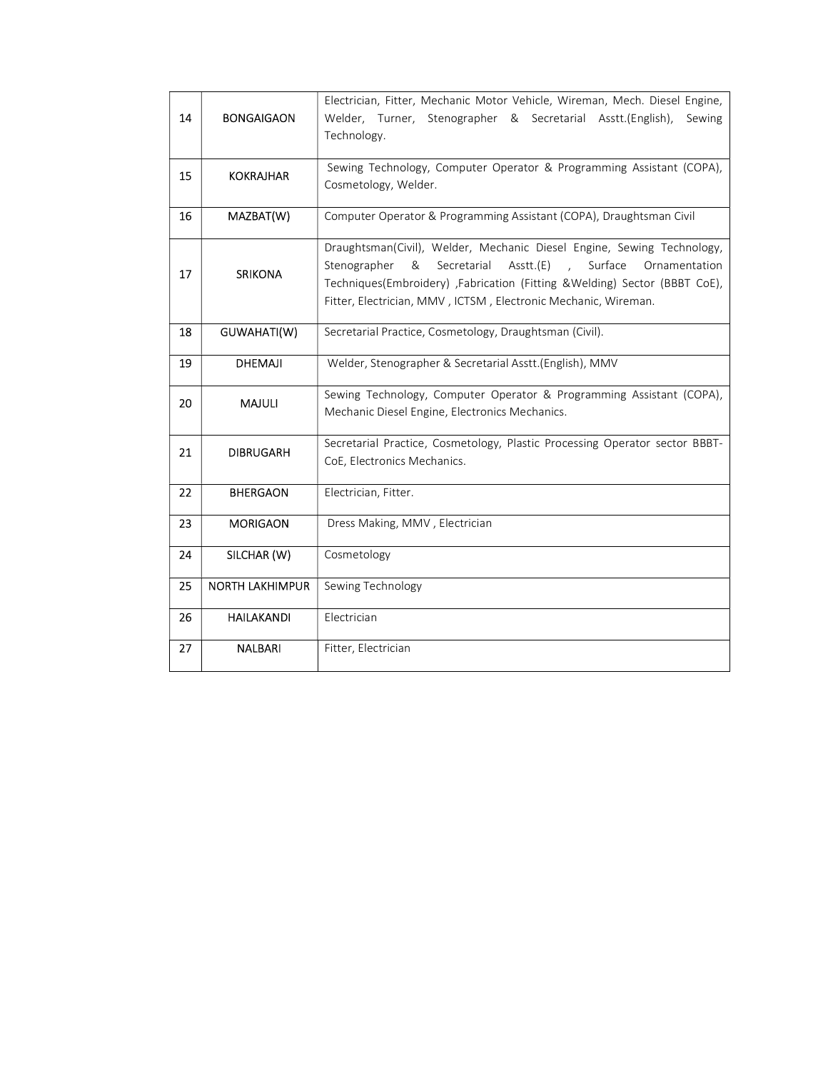| 14 | <b>BONGAIGAON</b>      | Electrician, Fitter, Mechanic Motor Vehicle, Wireman, Mech. Diesel Engine,<br>Welder, Turner, Stenographer & Secretarial Asstt.(English),<br>Sewing<br>Technology.                                                                                                                                                 |
|----|------------------------|--------------------------------------------------------------------------------------------------------------------------------------------------------------------------------------------------------------------------------------------------------------------------------------------------------------------|
| 15 | <b>KOKRAJHAR</b>       | Sewing Technology, Computer Operator & Programming Assistant (COPA),<br>Cosmetology, Welder.                                                                                                                                                                                                                       |
| 16 | MAZBAT(W)              | Computer Operator & Programming Assistant (COPA), Draughtsman Civil                                                                                                                                                                                                                                                |
| 17 | <b>SRIKONA</b>         | Draughtsman(Civil), Welder, Mechanic Diesel Engine, Sewing Technology,<br>Secretarial Asstt.(E)<br>Stenographer<br>&<br>Surface<br>$\sim 10^{-11}$<br>Ornamentation<br>Techniques(Embroidery) ,Fabrication (Fitting &Welding) Sector (BBBT CoE),<br>Fitter, Electrician, MMV, ICTSM, Electronic Mechanic, Wireman. |
| 18 | GUWAHATI(W)            | Secretarial Practice, Cosmetology, Draughtsman (Civil).                                                                                                                                                                                                                                                            |
| 19 | <b>DHEMAJI</b>         | Welder, Stenographer & Secretarial Asstt.(English), MMV                                                                                                                                                                                                                                                            |
| 20 | <b>MAJULI</b>          | Sewing Technology, Computer Operator & Programming Assistant (COPA),<br>Mechanic Diesel Engine, Electronics Mechanics.                                                                                                                                                                                             |
| 21 | <b>DIBRUGARH</b>       | Secretarial Practice, Cosmetology, Plastic Processing Operator sector BBBT-<br>CoE, Electronics Mechanics.                                                                                                                                                                                                         |
| 22 | <b>BHERGAON</b>        | Electrician, Fitter.                                                                                                                                                                                                                                                                                               |
| 23 | <b>MORIGAON</b>        | Dress Making, MMV, Electrician                                                                                                                                                                                                                                                                                     |
| 24 | SILCHAR (W)            | Cosmetology                                                                                                                                                                                                                                                                                                        |
| 25 | <b>NORTH LAKHIMPUR</b> | Sewing Technology                                                                                                                                                                                                                                                                                                  |
| 26 | <b>HAILAKANDI</b>      | Electrician                                                                                                                                                                                                                                                                                                        |
| 27 | <b>NALBARI</b>         | Fitter, Electrician                                                                                                                                                                                                                                                                                                |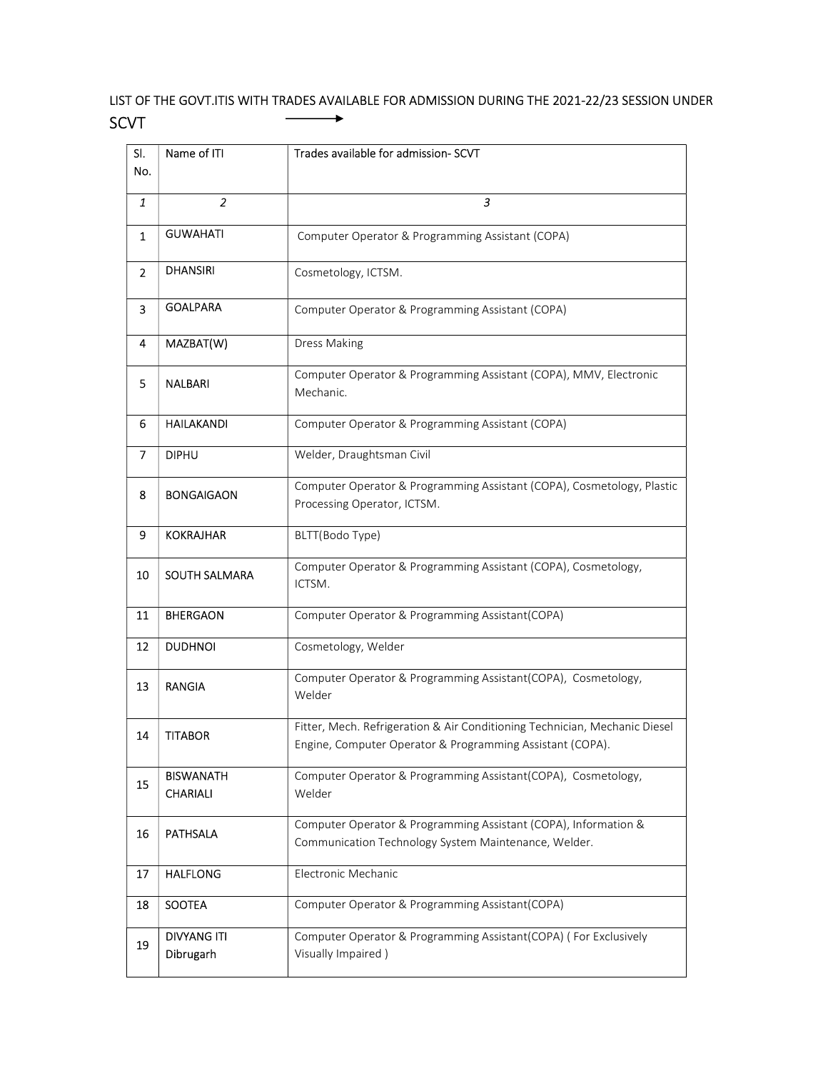## LIST OF THE GOVT.ITIS WITH TRADES AVAILABLE FOR ADMISSION DURING THE 2021-22/23 SESSION UNDER SCVT  $\longrightarrow$

| SI.<br>No.     | Name of ITI                         | Trades available for admission- SCVT                                                                                                    |
|----------------|-------------------------------------|-----------------------------------------------------------------------------------------------------------------------------------------|
| 1              | $\overline{2}$                      | 3                                                                                                                                       |
| $\mathbf{1}$   | <b>GUWAHATI</b>                     | Computer Operator & Programming Assistant (COPA)                                                                                        |
| $\overline{2}$ | <b>DHANSIRI</b>                     | Cosmetology, ICTSM.                                                                                                                     |
| 3              | <b>GOALPARA</b>                     | Computer Operator & Programming Assistant (COPA)                                                                                        |
| 4              | MAZBAT(W)                           | <b>Dress Making</b>                                                                                                                     |
| 5              | <b>NALBARI</b>                      | Computer Operator & Programming Assistant (COPA), MMV, Electronic<br>Mechanic.                                                          |
| 6              | <b>HAILAKANDI</b>                   | Computer Operator & Programming Assistant (COPA)                                                                                        |
| 7              | <b>DIPHU</b>                        | Welder, Draughtsman Civil                                                                                                               |
| 8              | <b>BONGAIGAON</b>                   | Computer Operator & Programming Assistant (COPA), Cosmetology, Plastic<br>Processing Operator, ICTSM.                                   |
| 9              | <b>KOKRAJHAR</b>                    | BLTT(Bodo Type)                                                                                                                         |
| 10             | SOUTH SALMARA                       | Computer Operator & Programming Assistant (COPA), Cosmetology,<br>ICTSM.                                                                |
| 11             | <b>BHERGAON</b>                     | Computer Operator & Programming Assistant(COPA)                                                                                         |
| 12             | <b>DUDHNOI</b>                      | Cosmetology, Welder                                                                                                                     |
| 13             | <b>RANGIA</b>                       | Computer Operator & Programming Assistant(COPA), Cosmetology,<br>Welder                                                                 |
| 14             | <b>TITABOR</b>                      | Fitter, Mech. Refrigeration & Air Conditioning Technician, Mechanic Diesel<br>Engine, Computer Operator & Programming Assistant (COPA). |
| 15             | <b>BISWANATH</b><br><b>CHARIALI</b> | Computer Operator & Programming Assistant(COPA), Cosmetology,<br>Welder                                                                 |
| 16             | <b>PATHSALA</b>                     | Computer Operator & Programming Assistant (COPA), Information &<br>Communication Technology System Maintenance, Welder.                 |
| 17             | <b>HALFLONG</b>                     | Electronic Mechanic                                                                                                                     |
| 18             | SOOTEA                              | Computer Operator & Programming Assistant(COPA)                                                                                         |
| 19             | <b>DIVYANG ITI</b><br>Dibrugarh     | Computer Operator & Programming Assistant(COPA) (For Exclusively<br>Visually Impaired)                                                  |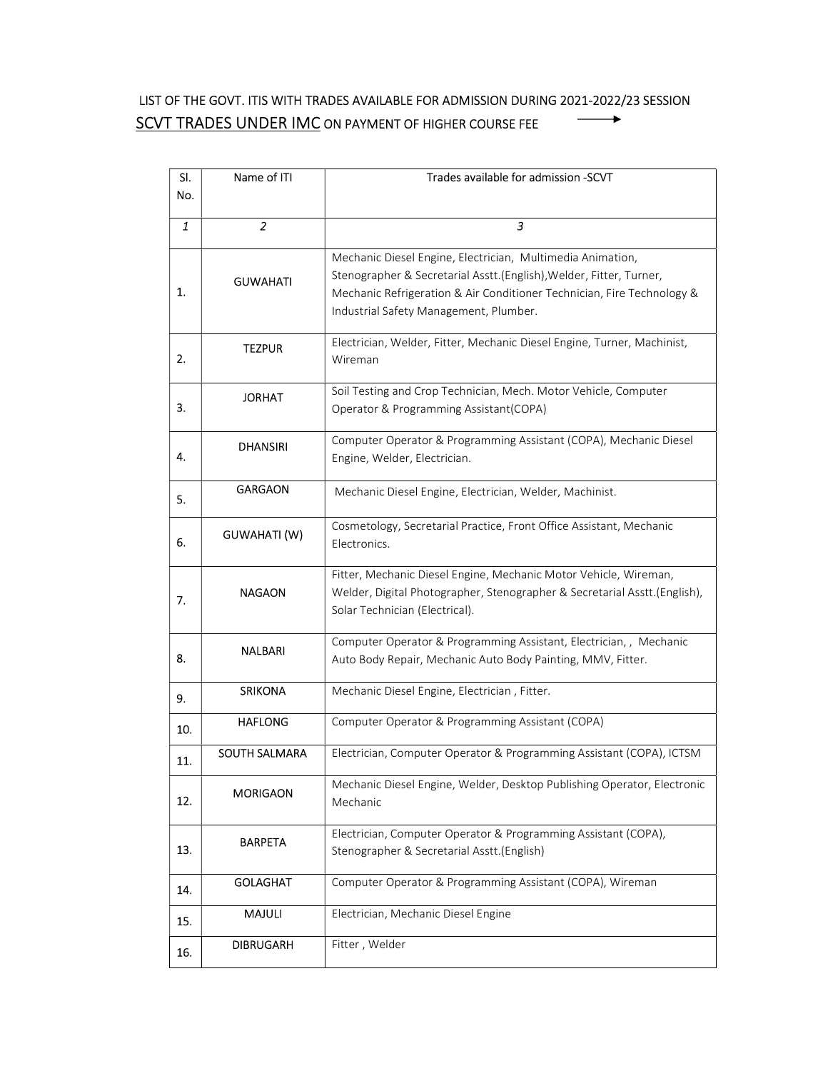## LIST OF THE GOVT. ITIS WITH TRADES AVAILABLE FOR ADMISSION DURING 2021-2022/23 SESSION SCVT TRADES UNDER IMC ON PAYMENT OF HIGHER COURSE FEE  $\longrightarrow$

| SI. | Name of ITI          | Trades available for admission -SCVT                                                                        |
|-----|----------------------|-------------------------------------------------------------------------------------------------------------|
| No. |                      |                                                                                                             |
|     |                      |                                                                                                             |
| 1   | $\overline{2}$       | 3                                                                                                           |
|     |                      | Mechanic Diesel Engine, Electrician, Multimedia Animation,                                                  |
|     | <b>GUWAHATI</b>      | Stenographer & Secretarial Asstt.(English), Welder, Fitter, Turner,                                         |
| 1.  |                      | Mechanic Refrigeration & Air Conditioner Technician, Fire Technology &                                      |
|     |                      | Industrial Safety Management, Plumber.                                                                      |
|     |                      |                                                                                                             |
|     | <b>TEZPUR</b>        | Electrician, Welder, Fitter, Mechanic Diesel Engine, Turner, Machinist,                                     |
| 2.  |                      | Wireman                                                                                                     |
|     |                      | Soil Testing and Crop Technician, Mech. Motor Vehicle, Computer                                             |
| 3.  | <b>JORHAT</b>        | Operator & Programming Assistant(COPA)                                                                      |
|     |                      |                                                                                                             |
|     | <b>DHANSIRI</b>      | Computer Operator & Programming Assistant (COPA), Mechanic Diesel                                           |
| 4.  |                      | Engine, Welder, Electrician.                                                                                |
|     | <b>GARGAON</b>       | Mechanic Diesel Engine, Electrician, Welder, Machinist.                                                     |
| 5.  |                      |                                                                                                             |
|     |                      | Cosmetology, Secretarial Practice, Front Office Assistant, Mechanic                                         |
| 6.  | GUWAHATI (W)         | Electronics.                                                                                                |
|     |                      |                                                                                                             |
|     | <b>NAGAON</b>        | Fitter, Mechanic Diesel Engine, Mechanic Motor Vehicle, Wireman,                                            |
| 7.  |                      | Welder, Digital Photographer, Stenographer & Secretarial Asstt.(English),<br>Solar Technician (Electrical). |
|     |                      |                                                                                                             |
|     | NALBARI              | Computer Operator & Programming Assistant, Electrician,, Mechanic                                           |
| 8.  |                      | Auto Body Repair, Mechanic Auto Body Painting, MMV, Fitter.                                                 |
|     |                      |                                                                                                             |
| 9.  | <b>SRIKONA</b>       | Mechanic Diesel Engine, Electrician, Fitter.                                                                |
| 10. | <b>HAFLONG</b>       | Computer Operator & Programming Assistant (COPA)                                                            |
|     |                      |                                                                                                             |
| 11. | <b>SOUTH SALMARA</b> | Electrician, Computer Operator & Programming Assistant (COPA), ICTSM                                        |
|     |                      | Mechanic Diesel Engine, Welder, Desktop Publishing Operator, Electronic                                     |
| 12. | <b>MORIGAON</b>      | Mechanic                                                                                                    |
|     |                      |                                                                                                             |
|     | <b>BARPETA</b>       | Electrician, Computer Operator & Programming Assistant (COPA),                                              |
| 13. |                      | Stenographer & Secretarial Asstt.(English)                                                                  |
|     | <b>GOLAGHAT</b>      | Computer Operator & Programming Assistant (COPA), Wireman                                                   |
| 14. |                      |                                                                                                             |
| 15. | MAJULI               | Electrician, Mechanic Diesel Engine                                                                         |
|     | <b>DIBRUGARH</b>     | Fitter, Welder                                                                                              |
| 16. |                      |                                                                                                             |